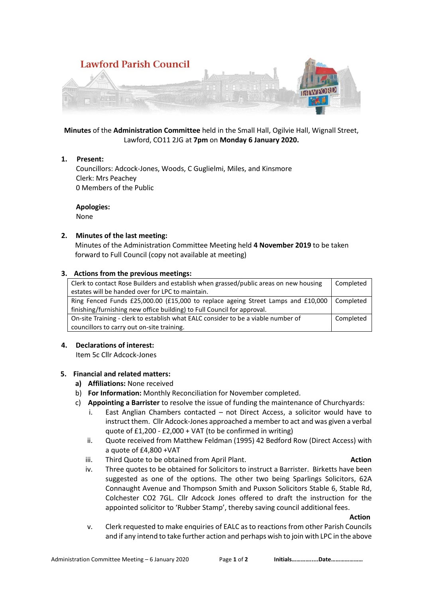

**Minutes** of the **Administration Committee** held in the Small Hall, Ogilvie Hall, Wignall Street, Lawford, CO11 2JG at **7pm** on **Monday 6 January 2020.**

**1. Present:**

 Councillors: Adcock-Jones, Woods, C Guglielmi, Miles, and Kinsmore Clerk: Mrs Peachey 0 Members of the Public

**Apologies:**

None

# **2. Minutes of the last meeting:**

Minutes of the Administration Committee Meeting held **4 November 2019** to be taken forward to Full Council (copy not available at meeting)

### **3. Actions from the previous meetings:**

| Clerk to contact Rose Builders and establish when grassed/public areas on new housing | Completed |
|---------------------------------------------------------------------------------------|-----------|
| estates will be handed over for LPC to maintain.                                      |           |
| Ring Fenced Funds £25,000.00 (£15,000 to replace ageing Street Lamps and £10,000      | Completed |
| finishing/furnishing new office building) to Full Council for approval.               |           |
| On-site Training - clerk to establish what EALC consider to be a viable number of     | Completed |
| councillors to carry out on-site training.                                            |           |

# **4. Declarations of interest:**

Item 5c Cllr Adcock-Jones

# **5. Financial and related matters:**

- **a) Affiliations:** None received
- b) **For Information:** Monthly Reconciliation for November completed.
- c) **Appointing a Barrister** to resolve the issue of funding the maintenance of Churchyards:
	- i. East Anglian Chambers contacted not Direct Access, a solicitor would have to instruct them. Cllr Adcock-Jones approached a member to act and was given a verbal quote of £1,200 - £2,000 + VAT (to be confirmed in writing)
	- ii. Quote received from Matthew Feldman (1995) 42 Bedford Row (Direct Access) with a quote of £4,800 +VAT
	- iii. Third Quote to be obtained from April Plant. **Action**

iv. Three quotes to be obtained for Solicitors to instruct a Barrister. Birketts have been suggested as one of the options. The other two being Sparlings Solicitors, 62A Connaught Avenue and Thompson Smith and Puxson Solicitors Stable 6, Stable Rd, Colchester CO2 7GL. Cllr Adcock Jones offered to draft the instruction for the appointed solicitor to 'Rubber Stamp', thereby saving council additional fees.

**Action** 

v. Clerk requested to make enquiries of EALC as to reactions from other Parish Councils and if any intend to take further action and perhaps wish to join with LPC in the above